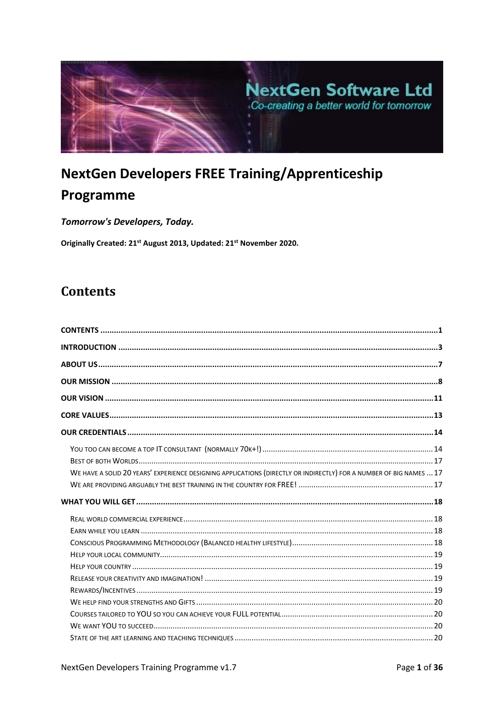

# **NextGen Developers FREE Training/Apprenticeship** Programme

Tomorrow's Developers, Today.

Originally Created: 21<sup>st</sup> August 2013, Updated: 21<sup>st</sup> November 2020.

## <span id="page-0-0"></span>**Contents**

| WE HAVE A SOLID 20 YEARS' EXPERIENCE DESIGNING APPLICATIONS (DIRECTLY OR INDIRECTLY) FOR A NUMBER OF BIG NAMES  17 |  |
|--------------------------------------------------------------------------------------------------------------------|--|
|                                                                                                                    |  |
|                                                                                                                    |  |
|                                                                                                                    |  |
|                                                                                                                    |  |
|                                                                                                                    |  |
|                                                                                                                    |  |
|                                                                                                                    |  |
|                                                                                                                    |  |
|                                                                                                                    |  |
|                                                                                                                    |  |
|                                                                                                                    |  |
|                                                                                                                    |  |
|                                                                                                                    |  |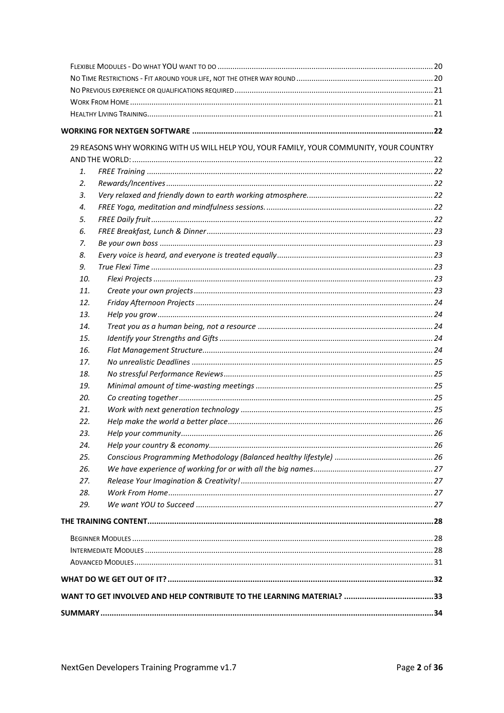|     | 29 REASONS WHY WORKING WITH US WILL HELP YOU, YOUR FAMILY, YOUR COMMUNITY, YOUR COUNTRY |  |
|-----|-----------------------------------------------------------------------------------------|--|
|     |                                                                                         |  |
| 1.  |                                                                                         |  |
| 2.  |                                                                                         |  |
| 3.  |                                                                                         |  |
| 4.  |                                                                                         |  |
| 5.  |                                                                                         |  |
| 6.  |                                                                                         |  |
| 7.  |                                                                                         |  |
| 8.  |                                                                                         |  |
| 9.  |                                                                                         |  |
| 10. |                                                                                         |  |
| 11. |                                                                                         |  |
| 12. |                                                                                         |  |
| 13. |                                                                                         |  |
| 14. |                                                                                         |  |
| 15. |                                                                                         |  |
| 16. |                                                                                         |  |
| 17. |                                                                                         |  |
| 18. |                                                                                         |  |
| 19. |                                                                                         |  |
| 20. |                                                                                         |  |
| 21. |                                                                                         |  |
| 22. |                                                                                         |  |
| 23. |                                                                                         |  |
| 24. |                                                                                         |  |
| 25. |                                                                                         |  |
| 26. |                                                                                         |  |
| 27. |                                                                                         |  |
| 28. |                                                                                         |  |
| 29. |                                                                                         |  |
|     |                                                                                         |  |
|     |                                                                                         |  |
|     |                                                                                         |  |
|     |                                                                                         |  |
|     |                                                                                         |  |
|     |                                                                                         |  |
|     |                                                                                         |  |
|     |                                                                                         |  |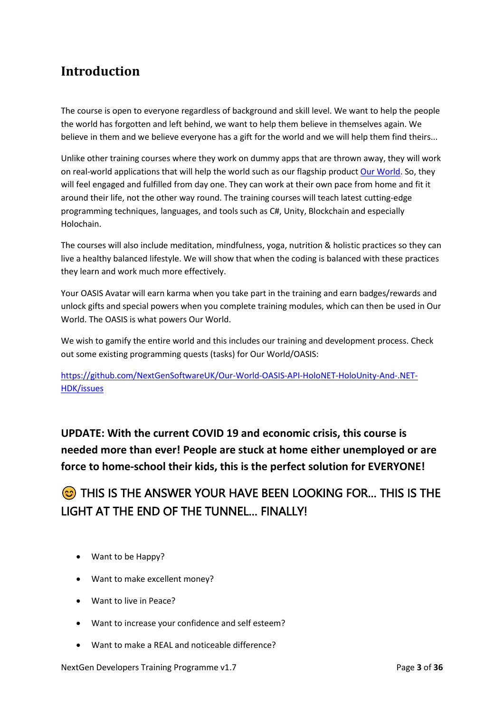## <span id="page-2-0"></span>**Introduction**

The course is open to everyone regardless of background and skill level. We want to help the people the world has forgotten and left behind, we want to help them believe in themselves again. We believe in them and we believe everyone has a gift for the world and we will help them find theirs...

Unlike other training courses where they work on dummy apps that are thrown away, they will work on real-world applications that will help the world such as our flagship product [Our World.](http://www.ourworldthegame.com/) So, they will feel engaged and fulfilled from day one. They can work at their own pace from home and fit it around their life, not the other way round. The training courses will teach latest cutting-edge programming techniques, languages, and tools such as C#, Unity, Blockchain and especially Holochain.

The courses will also include meditation, mindfulness, yoga, nutrition & holistic practices so they can live a healthy balanced lifestyle. We will show that when the coding is balanced with these practices they learn and work much more effectively.

Your OASIS Avatar will earn karma when you take part in the training and earn badges/rewards and unlock gifts and special powers when you complete training modules, which can then be used in Our World. The OASIS is what powers Our World.

We wish to gamify the entire world and this includes our training and development process. Check out some existing programming quests (tasks) for Our World/OASIS:

[https://github.com/NextGenSoftwareUK/Our-World-OASIS-API-HoloNET-HoloUnity-And-.NET-](https://github.com/NextGenSoftwareUK/Our-World-OASIS-API-HoloNET-HoloUnity-And-.NET-HDK/issues)[HDK/issues](https://github.com/NextGenSoftwareUK/Our-World-OASIS-API-HoloNET-HoloUnity-And-.NET-HDK/issues)

**UPDATE: With the current COVID 19 and economic crisis, this course is needed more than ever! People are stuck at home either unemployed or are force to home-school their kids, this is the perfect solution for EVERYONE!** 

## **C** THIS IS THE ANSWER YOUR HAVE BEEN LOOKING FOR... THIS IS THE LIGHT AT THE END OF THE TUNNEL… FINALLY!

- Want to be Happy?
- Want to make excellent money?
- Want to live in Peace?
- Want to increase your confidence and self esteem?
- Want to make a REAL and noticeable difference?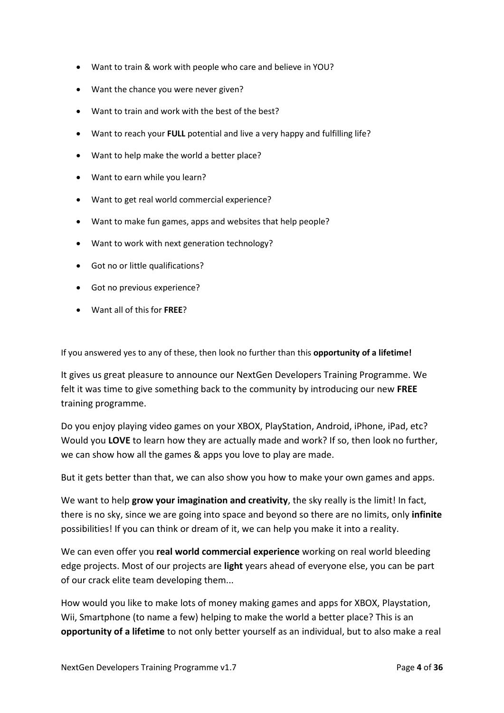- Want to train & work with people who care and believe in YOU?
- Want the chance you were never given?
- Want to train and work with the best of the best?
- Want to reach your **FULL** potential and live a very happy and fulfilling life?
- Want to help make the world a better place?
- Want to earn while you learn?
- Want to get real world commercial experience?
- Want to make fun games, apps and websites that help people?
- Want to work with next generation technology?
- Got no or little qualifications?
- Got no previous experience?
- Want all of this for **FREE**?

If you answered yes to any of these, then look no further than this **opportunity of a lifetime!**

It gives us great pleasure to announce our NextGen Developers Training Programme. We felt it was time to give something back to the community by introducing our new **FREE** training programme.

Do you enjoy playing video games on your XBOX, PlayStation, Android, iPhone, iPad, etc? Would you **LOVE** to learn how they are actually made and work? If so, then look no further, we can show how all the games & apps you love to play are made.

But it gets better than that, we can also show you how to make your own games and apps.

We want to help **grow your imagination and creativity**, the sky really is the limit! In fact, there is no sky, since we are going into space and beyond so there are no limits, only **infinite** possibilities! If you can think or dream of it, we can help you make it into a reality.

We can even offer you **real world commercial experience** working on real world bleeding edge projects. Most of our projects are **light** years ahead of everyone else, you can be part of our crack elite team developing them...

How would you like to make lots of money making games and apps for XBOX, Playstation, Wii, Smartphone (to name a few) helping to make the world a better place? This is an **opportunity of a lifetime** to not only better yourself as an individual, but to also make a real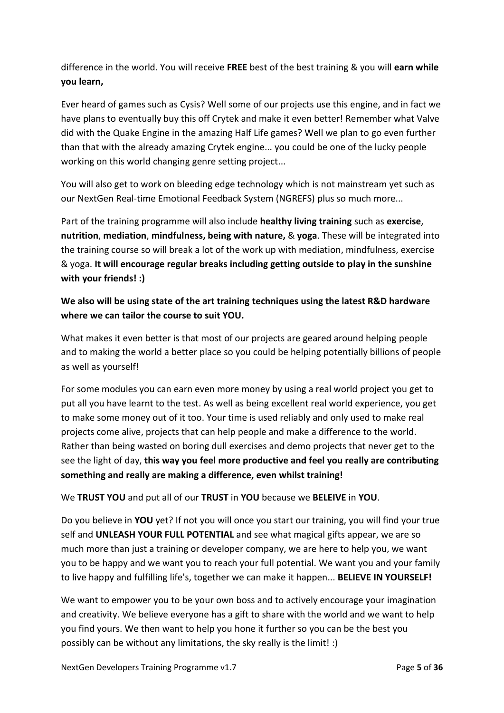difference in the world. You will receive **FREE** best of the best training & you will **earn while you learn,**

Ever heard of games such as Cysis? Well some of our projects use this engine, and in fact we have plans to eventually buy this off Crytek and make it even better! Remember what Valve did with the Quake Engine in the amazing Half Life games? Well we plan to go even further than that with the already amazing Crytek engine... you could be one of the lucky people working on this world changing genre setting project...

You will also get to work on bleeding edge technology which is not mainstream yet such as our NextGen Real-time Emotional Feedback System (NGREFS) plus so much more...

Part of the training programme will also include **healthy living training** such as **exercise**, **nutrition**, **mediation**, **mindfulness, being with nature,** & **yoga**. These will be integrated into the training course so will break a lot of the work up with mediation, mindfulness, exercise & yoga. **It will encourage regular breaks including getting outside to play in the sunshine with your friends! :)**

## **We also will be using state of the art training techniques using the latest R&D hardware where we can tailor the course to suit YOU.**

What makes it even better is that most of our projects are geared around helping people and to making the world a better place so you could be helping potentially billions of people as well as yourself!

For some modules you can earn even more money by using a real world project you get to put all you have learnt to the test. As well as being excellent real world experience, you get to make some money out of it too. Your time is used reliably and only used to make real projects come alive, projects that can help people and make a difference to the world. Rather than being wasted on boring dull exercises and demo projects that never get to the see the light of day, **this way you feel more productive and feel you really are contributing something and really are making a difference, even whilst training!**

We **TRUST YOU** and put all of our **TRUST** in **YOU** because we **BELEIVE** in **YOU**.

Do you believe in **YOU** yet? If not you will once you start our training, you will find your true self and **UNLEASH YOUR FULL POTENTIAL** and see what magical gifts appear, we are so much more than just a training or developer company, we are here to help you, we want you to be happy and we want you to reach your full potential. We want you and your family to live happy and fulfilling life's, together we can make it happen... **BELIEVE IN YOURSELF!**

We want to empower you to be your own boss and to actively encourage your imagination and creativity. We believe everyone has a gift to share with the world and we want to help you find yours. We then want to help you hone it further so you can be the best you possibly can be without any limitations, the sky really is the limit! :)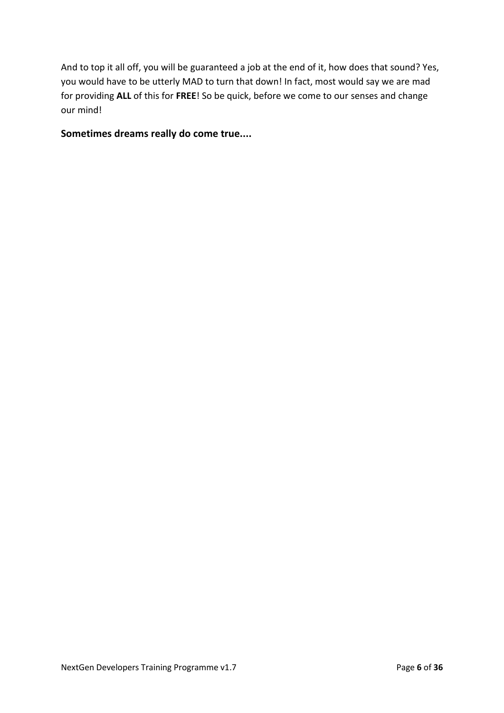And to top it all off, you will be guaranteed a job at the end of it, how does that sound? Yes, you would have to be utterly MAD to turn that down! In fact, most would say we are mad for providing **ALL** of this for **FREE**! So be quick, before we come to our senses and change our mind!

## **Sometimes dreams really do come true....**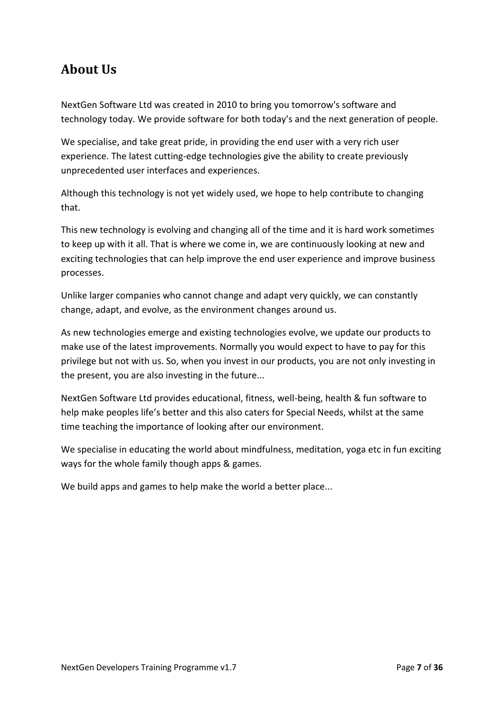## <span id="page-6-0"></span>**About Us**

NextGen Software Ltd was created in 2010 to bring you tomorrow's software and technology today. We provide software for both today's and the next generation of people.

We specialise, and take great pride, in providing the end user with a very rich user experience. The latest cutting-edge technologies give the ability to create previously unprecedented user interfaces and experiences.

Although this technology is not yet widely used, we hope to help contribute to changing that.

This new technology is evolving and changing all of the time and it is hard work sometimes to keep up with it all. That is where we come in, we are continuously looking at new and exciting technologies that can help improve the end user experience and improve business processes.

Unlike larger companies who cannot change and adapt very quickly, we can constantly change, adapt, and evolve, as the environment changes around us.

As new technologies emerge and existing technologies evolve, we update our products to make use of the latest improvements. Normally you would expect to have to pay for this privilege but not with us. So, when you invest in our products, you are not only investing in the present, you are also investing in the future...

NextGen Software Ltd provides educational, fitness, well-being, health & fun software to help make peoples life's better and this also caters for Special Needs, whilst at the same time teaching the importance of looking after our environment.

We specialise in educating the world about mindfulness, meditation, yoga etc in fun exciting ways for the whole family though apps & games.

We build apps and games to help make the world a better place...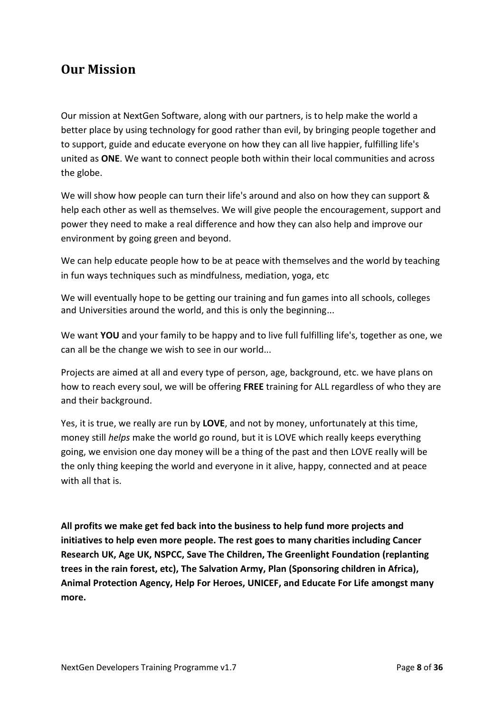## <span id="page-7-0"></span>**Our Mission**

Our mission at NextGen Software, along with our partners, is to help make the world a better place by using technology for good rather than evil, by bringing people together and to support, guide and educate everyone on how they can all live happier, fulfilling life's united as **ONE**. We want to connect people both within their local communities and across the globe.

We will show how people can turn their life's around and also on how they can support & help each other as well as themselves. We will give people the encouragement, support and power they need to make a real difference and how they can also help and improve our environment by going green and beyond.

We can help educate people how to be at peace with themselves and the world by teaching in fun ways techniques such as mindfulness, mediation, yoga, etc

We will eventually hope to be getting our training and fun games into all schools, colleges and Universities around the world, and this is only the beginning...

We want **YOU** and your family to be happy and to live full fulfilling life's, together as one, we can all be the change we wish to see in our world...

Projects are aimed at all and every type of person, age, background, etc. we have plans on how to reach every soul, we will be offering **FREE** training for ALL regardless of who they are and their background.

Yes, it is true, we really are run by **LOVE**, and not by money, unfortunately at this time, money still *helps* make the world go round, but it is LOVE which really keeps everything going, we envision one day money will be a thing of the past and then LOVE really will be the only thing keeping the world and everyone in it alive, happy, connected and at peace with all that is.

**All profits we make get fed back into the business to help fund more projects and initiatives to help even more people. The rest goes to many charities including Cancer Research UK, Age UK, NSPCC, Save The Children, The Greenlight Foundation (replanting trees in the rain forest, etc), The Salvation Army, Plan (Sponsoring children in Africa), Animal Protection Agency, Help For Heroes, UNICEF, and Educate For Life amongst many more.**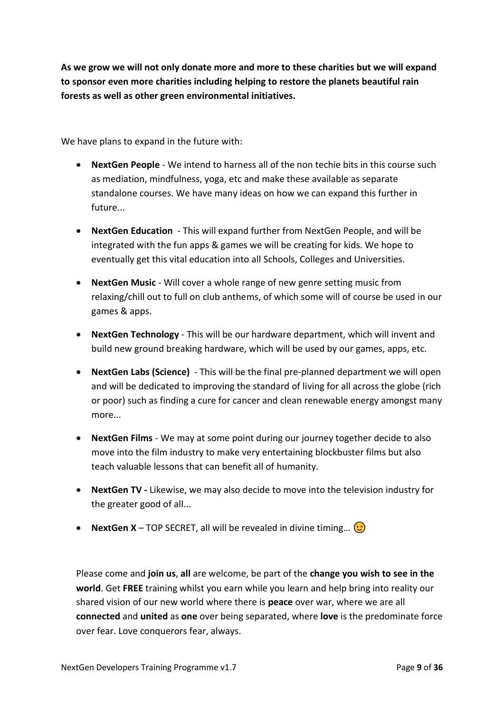**As we grow we will not only donate more and more to these charities but we will expand to sponsor even more charities including helping to restore the planets beautiful rain forests as well as other green environmental initiatives.**

We have plans to expand in the future with:

- **NextGen People** We intend to harness all of the non techie bits in this course such as mediation, mindfulness, yoga, etc and make these available as separate standalone courses. We have many ideas on how we can expand this further in future...
- **NextGen Education** This will expand further from NextGen People, and will be integrated with the fun apps & games we will be creating for kids. We hope to eventually get this vital education into all Schools, Colleges and Universities.
- **NextGen Music** Will cover a whole range of new genre setting music from relaxing/chill out to full on club anthems, of which some will of course be used in our games & apps.
- **NextGen Technology** This will be our hardware department, which will invent and build new ground breaking hardware, which will be used by our games, apps, etc.
- **NextGen Labs (Science)** This will be the final pre-planned department we will open and will be dedicated to improving the standard of living for all across the globe (rich or poor) such as finding a cure for cancer and clean renewable energy amongst many more
- **NextGen Films** We may at some point during our journey together decide to also move into the film industry to make very entertaining blockbuster films but also teach valuable lessons that can benefit all of humanity.
- **NextGen TV -** Likewise, we may also decide to move into the television industry for the greater good of all...
- **NextGen X** TOP SECRET, all will be revealed in divine timing...  $\circled{5}$

Please come and **join us**, **all** are welcome, be part of the **change you wish to see in the world**. Get **FREE** training whilst you earn while you learn and help bring into reality our shared vision of our new world where there is **peace** over war, where we are all **connected** and **united** as **one** over being separated, where **love** is the predominate force over fear. Love conquerors fear, always.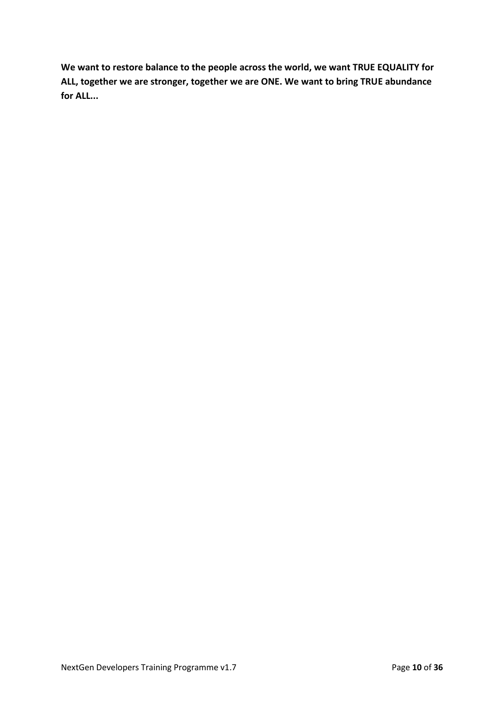**We want to restore balance to the people across the world, we want TRUE EQUALITY for ALL, together we are stronger, together we are ONE. We want to bring TRUE abundance for ALL...**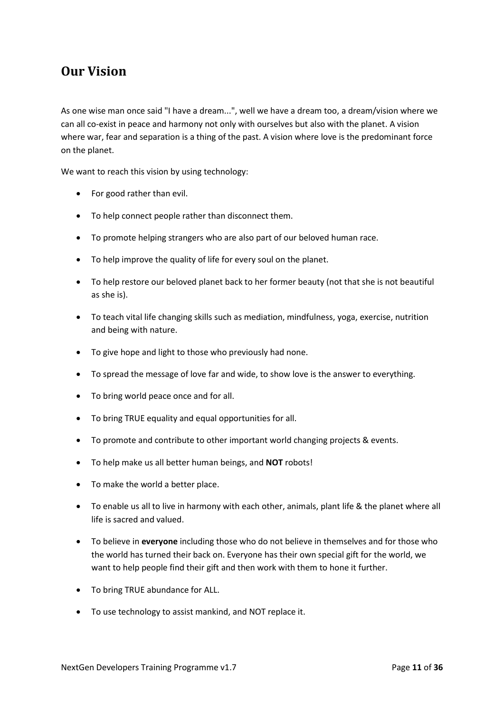## <span id="page-10-0"></span>**Our Vision**

As one wise man once said "I have a dream...", well we have a dream too, a dream/vision where we can all co-exist in peace and harmony not only with ourselves but also with the planet. A vision where war, fear and separation is a thing of the past. A vision where love is the predominant force on the planet.

We want to reach this vision by using technology:

- For good rather than evil.
- To help connect people rather than disconnect them.
- To promote helping strangers who are also part of our beloved human race.
- To help improve the quality of life for every soul on the planet.
- To help restore our beloved planet back to her former beauty (not that she is not beautiful as she is).
- To teach vital life changing skills such as mediation, mindfulness, yoga, exercise, nutrition and being with nature.
- To give hope and light to those who previously had none.
- To spread the message of love far and wide, to show love is the answer to everything.
- To bring world peace once and for all.
- To bring TRUE equality and equal opportunities for all.
- To promote and contribute to other important world changing projects & events.
- To help make us all better human beings, and **NOT** robots!
- To make the world a better place.
- To enable us all to live in harmony with each other, animals, plant life & the planet where all life is sacred and valued.
- To believe in **everyone** including those who do not believe in themselves and for those who the world has turned their back on. Everyone has their own special gift for the world, we want to help people find their gift and then work with them to hone it further.
- To bring TRUE abundance for ALL.
- To use technology to assist mankind, and NOT replace it.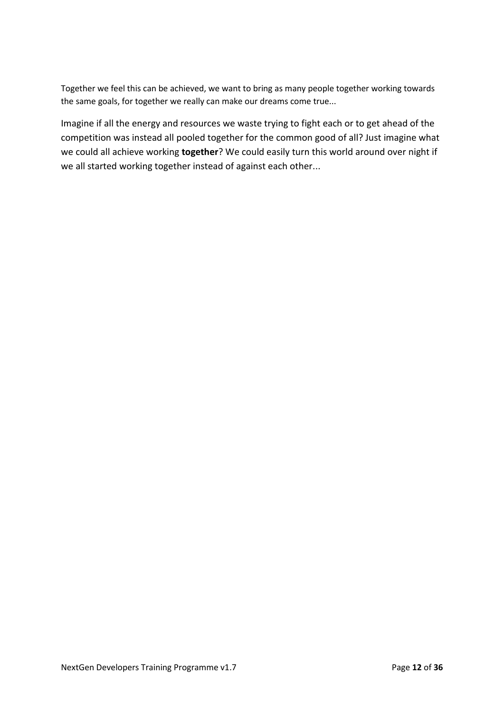Together we feel this can be achieved, we want to bring as many people together working towards the same goals, for together we really can make our dreams come true...

Imagine if all the energy and resources we waste trying to fight each or to get ahead of the competition was instead all pooled together for the common good of all? Just imagine what we could all achieve working **together**? We could easily turn this world around over night if we all started working together instead of against each other...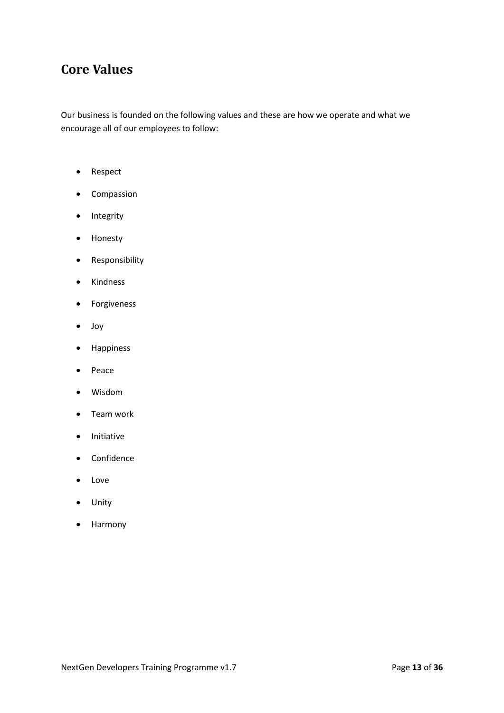## <span id="page-12-0"></span>**Core Values**

Our business is founded on the following values and these are how we operate and what we encourage all of our employees to follow:

- Respect
- Compassion
- Integrity
- Honesty
- Responsibility
- Kindness
- Forgiveness
- Joy
- Happiness
- Peace
- Wisdom
- Team work
- Initiative
- Confidence
- Love
- Unity
- Harmony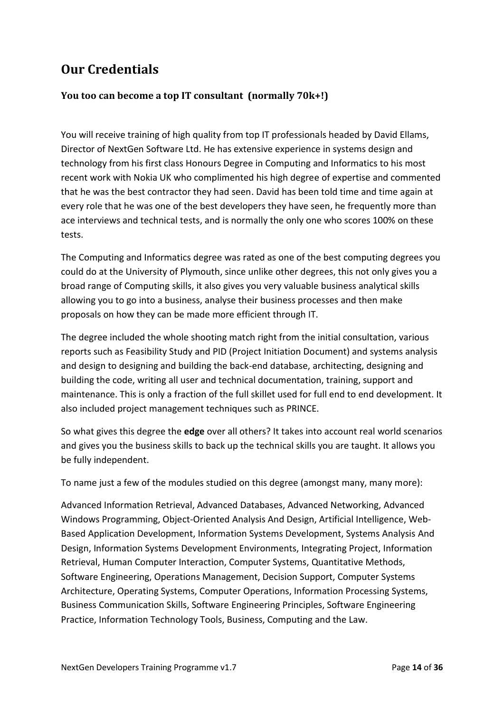## <span id="page-13-0"></span>**Our Credentials**

## <span id="page-13-1"></span>**You too can become a top IT consultant (normally 70k+!)**

You will receive training of high quality from top IT professionals headed by David Ellams, Director of NextGen Software Ltd. He has extensive experience in systems design and technology from his first class Honours Degree in Computing and Informatics to his most recent work with Nokia UK who complimented his high degree of expertise and commented that he was the best contractor they had seen. David has been told time and time again at every role that he was one of the best developers they have seen, he frequently more than ace interviews and technical tests, and is normally the only one who scores 100% on these tests.

The Computing and Informatics degree was rated as one of the best computing degrees you could do at the University of Plymouth, since unlike other degrees, this not only gives you a broad range of Computing skills, it also gives you very valuable business analytical skills allowing you to go into a business, analyse their business processes and then make proposals on how they can be made more efficient through IT.

The degree included the whole shooting match right from the initial consultation, various reports such as Feasibility Study and PID (Project Initiation Document) and systems analysis and design to designing and building the back-end database, architecting, designing and building the code, writing all user and technical documentation, training, support and maintenance. This is only a fraction of the full skillet used for full end to end development. It also included project management techniques such as PRINCE.

So what gives this degree the **edge** over all others? It takes into account real world scenarios and gives you the business skills to back up the technical skills you are taught. It allows you be fully independent.

To name just a few of the modules studied on this degree (amongst many, many more):

Advanced Information Retrieval, Advanced Databases, Advanced Networking, Advanced Windows Programming, Object-Oriented Analysis And Design, Artificial Intelligence, Web-Based Application Development, Information Systems Development, Systems Analysis And Design, Information Systems Development Environments, Integrating Project, Information Retrieval, Human Computer Interaction, Computer Systems, Quantitative Methods, Software Engineering, Operations Management, Decision Support, Computer Systems Architecture, Operating Systems, Computer Operations, Information Processing Systems, Business Communication Skills, Software Engineering Principles, Software Engineering Practice, Information Technology Tools, Business, Computing and the Law.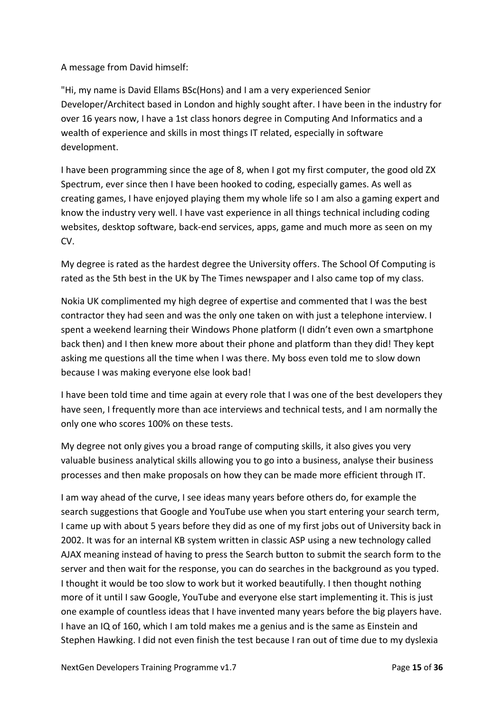#### A message from David himself:

"Hi, my name is David Ellams BSc(Hons) and I am a very experienced Senior Developer/Architect based in London and highly sought after. I have been in the industry for over 16 years now, I have a 1st class honors degree in Computing And Informatics and a wealth of experience and skills in most things IT related, especially in software development.

I have been programming since the age of 8, when I got my first computer, the good old ZX Spectrum, ever since then I have been hooked to coding, especially games. As well as creating games, I have enjoyed playing them my whole life so I am also a gaming expert and know the industry very well. I have vast experience in all things technical including coding websites, desktop software, back-end services, apps, game and much more as seen on my CV.

My degree is rated as the hardest degree the University offers. The School Of Computing is rated as the 5th best in the UK by The Times newspaper and I also came top of my class.

Nokia UK complimented my high degree of expertise and commented that I was the best contractor they had seen and was the only one taken on with just a telephone interview. I spent a weekend learning their Windows Phone platform (I didn't even own a smartphone back then) and I then knew more about their phone and platform than they did! They kept asking me questions all the time when I was there. My boss even told me to slow down because I was making everyone else look bad!

I have been told time and time again at every role that I was one of the best developers they have seen, I frequently more than ace interviews and technical tests, and I am normally the only one who scores 100% on these tests.

My degree not only gives you a broad range of computing skills, it also gives you very valuable business analytical skills allowing you to go into a business, analyse their business processes and then make proposals on how they can be made more efficient through IT.

I am way ahead of the curve, I see ideas many years before others do, for example the search suggestions that Google and YouTube use when you start entering your search term, I came up with about 5 years before they did as one of my first jobs out of University back in 2002. It was for an internal KB system written in classic ASP using a new technology called AJAX meaning instead of having to press the Search button to submit the search form to the server and then wait for the response, you can do searches in the background as you typed. I thought it would be too slow to work but it worked beautifully. I then thought nothing more of it until I saw Google, YouTube and everyone else start implementing it. This is just one example of countless ideas that I have invented many years before the big players have. I have an IQ of 160, which I am told makes me a genius and is the same as Einstein and Stephen Hawking. I did not even finish the test because I ran out of time due to my dyslexia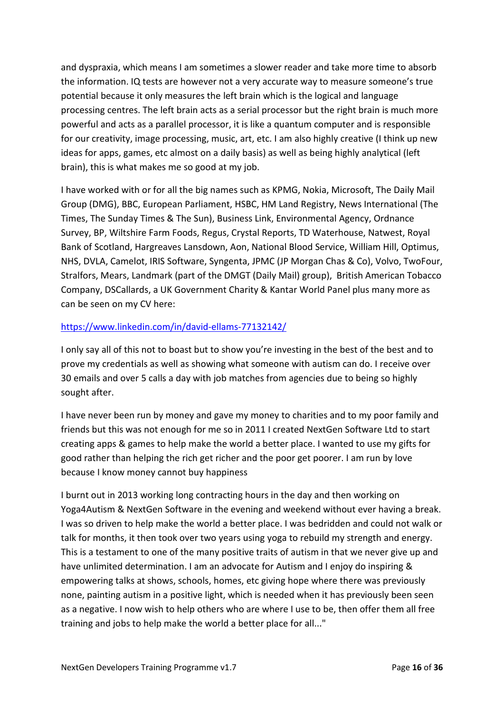and dyspraxia, which means I am sometimes a slower reader and take more time to absorb the information. IQ tests are however not a very accurate way to measure someone's true potential because it only measures the left brain which is the logical and language processing centres. The left brain acts as a serial processor but the right brain is much more powerful and acts as a parallel processor, it is like a quantum computer and is responsible for our creativity, image processing, music, art, etc. I am also highly creative (I think up new ideas for apps, games, etc almost on a daily basis) as well as being highly analytical (left brain), this is what makes me so good at my job.

I have worked with or for all the big names such as KPMG, Nokia, Microsoft, The Daily Mail Group (DMG), BBC, European Parliament, HSBC, HM Land Registry, News International (The Times, The Sunday Times & The Sun), Business Link, Environmental Agency, Ordnance Survey, BP, Wiltshire Farm Foods, Regus, Crystal Reports, TD Waterhouse, Natwest, Royal Bank of Scotland, Hargreaves Lansdown, Aon, National Blood Service, William Hill, Optimus, NHS, DVLA, Camelot, IRIS Software, Syngenta, JPMC (JP Morgan Chas & Co), Volvo, TwoFour, Stralfors, Mears, Landmark (part of the DMGT (Daily Mail) group), British American Tobacco Company, DSCallards, a UK Government Charity & Kantar World Panel plus many more as can be seen on my CV here:

### <https://www.linkedin.com/in/david-ellams-77132142/>

I only say all of this not to boast but to show you're investing in the best of the best and to prove my credentials as well as showing what someone with autism can do. I receive over 30 emails and over 5 calls a day with job matches from agencies due to being so highly sought after.

I have never been run by money and gave my money to charities and to my poor family and friends but this was not enough for me so in 2011 I created NextGen Software Ltd to start creating apps & games to help make the world a better place. I wanted to use my gifts for good rather than helping the rich get richer and the poor get poorer. I am run by love because I know money cannot buy happiness

I burnt out in 2013 working long contracting hours in the day and then working on Yoga4Autism & NextGen Software in the evening and weekend without ever having a break. I was so driven to help make the world a better place. I was bedridden and could not walk or talk for months, it then took over two years using yoga to rebuild my strength and energy. This is a testament to one of the many positive traits of autism in that we never give up and have unlimited determination. I am an advocate for Autism and I enjoy do inspiring & empowering talks at shows, schools, homes, etc giving hope where there was previously none, painting autism in a positive light, which is needed when it has previously been seen as a negative. I now wish to help others who are where I use to be, then offer them all free training and jobs to help make the world a better place for all..."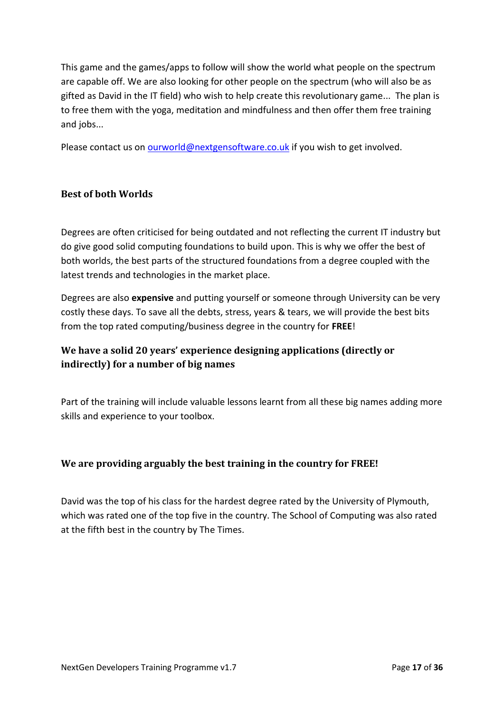This game and the games/apps to follow will show the world what people on the spectrum are capable off. We are also looking for other people on the spectrum (who will also be as gifted as David in the IT field) who wish to help create this revolutionary game... The plan is to free them with the yoga, meditation and mindfulness and then offer them free training and jobs...

Please contact us on [ourworld@nextgensoftware.co.uk](mailto:ourworld@nextgensoftware.co.uk) if you wish to get involved.

## <span id="page-16-0"></span>**Best of both Worlds**

Degrees are often criticised for being outdated and not reflecting the current IT industry but do give good solid computing foundations to build upon. This is why we offer the best of both worlds, the best parts of the structured foundations from a degree coupled with the latest trends and technologies in the market place.

Degrees are also **expensive** and putting yourself or someone through University can be very costly these days. To save all the debts, stress, years & tears, we will provide the best bits from the top rated computing/business degree in the country for **FREE**!

## <span id="page-16-1"></span>**We have a solid 20 years' experience designing applications (directly or indirectly) for a number of big names**

Part of the training will include valuable lessons learnt from all these big names adding more skills and experience to your toolbox.

## <span id="page-16-2"></span>**We are providing arguably the best training in the country for FREE!**

David was the top of his class for the hardest degree rated by the University of Plymouth, which was rated one of the top five in the country. The School of Computing was also rated at the fifth best in the country by The Times.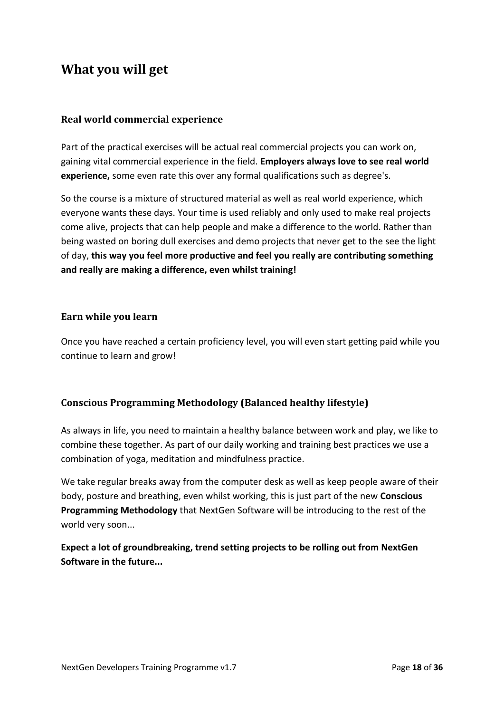## <span id="page-17-0"></span>**What you will get**

#### <span id="page-17-1"></span>**Real world commercial experience**

Part of the practical exercises will be actual real commercial projects you can work on, gaining vital commercial experience in the field. **Employers always love to see real world experience,** some even rate this over any formal qualifications such as degree's.

So the course is a mixture of structured material as well as real world experience, which everyone wants these days. Your time is used reliably and only used to make real projects come alive, projects that can help people and make a difference to the world. Rather than being wasted on boring dull exercises and demo projects that never get to the see the light of day, **this way you feel more productive and feel you really are contributing something and really are making a difference, even whilst training!**

#### <span id="page-17-2"></span>**Earn while you learn**

Once you have reached a certain proficiency level, you will even start getting paid while you continue to learn and grow!

### <span id="page-17-3"></span>**Conscious Programming Methodology (Balanced healthy lifestyle)**

As always in life, you need to maintain a healthy balance between work and play, we like to combine these together. As part of our daily working and training best practices we use a combination of yoga, meditation and mindfulness practice.

We take regular breaks away from the computer desk as well as keep people aware of their body, posture and breathing, even whilst working, this is just part of the new **Conscious Programming Methodology** that NextGen Software will be introducing to the rest of the world very soon...

**Expect a lot of groundbreaking, trend setting projects to be rolling out from NextGen Software in the future...**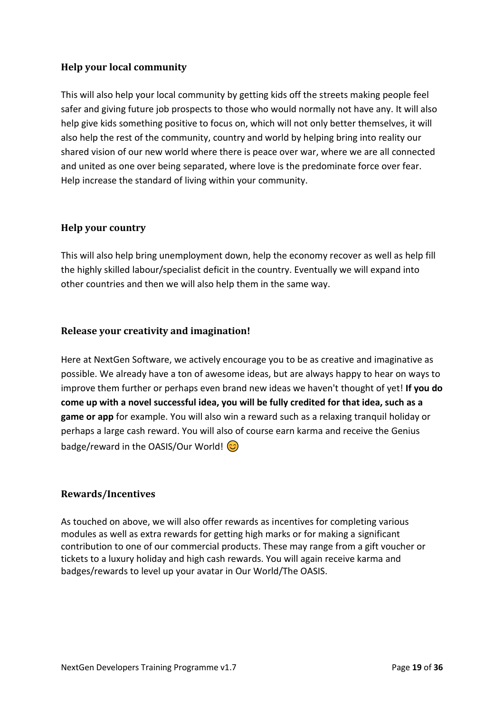## <span id="page-18-0"></span>**Help your local community**

This will also help your local community by getting kids off the streets making people feel safer and giving future job prospects to those who would normally not have any. It will also help give kids something positive to focus on, which will not only better themselves, it will also help the rest of the community, country and world by helping bring into reality our shared vision of our new world where there is peace over war, where we are all connected and united as one over being separated, where love is the predominate force over fear. Help increase the standard of living within your community.

### <span id="page-18-1"></span>**Help your country**

This will also help bring unemployment down, help the economy recover as well as help fill the highly skilled labour/specialist deficit in the country. Eventually we will expand into other countries and then we will also help them in the same way.

### <span id="page-18-2"></span>**Release your creativity and imagination!**

Here at NextGen Software, we actively encourage you to be as creative and imaginative as possible. We already have a ton of awesome ideas, but are always happy to hear on ways to improve them further or perhaps even brand new ideas we haven't thought of yet! **If you do come up with a novel successful idea, you will be fully credited for that idea, such as a game or app** for example. You will also win a reward such as a relaxing tranquil holiday or perhaps a large cash reward. You will also of course earn karma and receive the Genius badge/reward in the OASIS/Our World!  $\circled{c}$ 

### <span id="page-18-3"></span>**Rewards/Incentives**

As touched on above, we will also offer rewards as incentives for completing various modules as well as extra rewards for getting high marks or for making a significant contribution to one of our commercial products. These may range from a gift voucher or tickets to a luxury holiday and high cash rewards. You will again receive karma and badges/rewards to level up your avatar in Our World/The OASIS.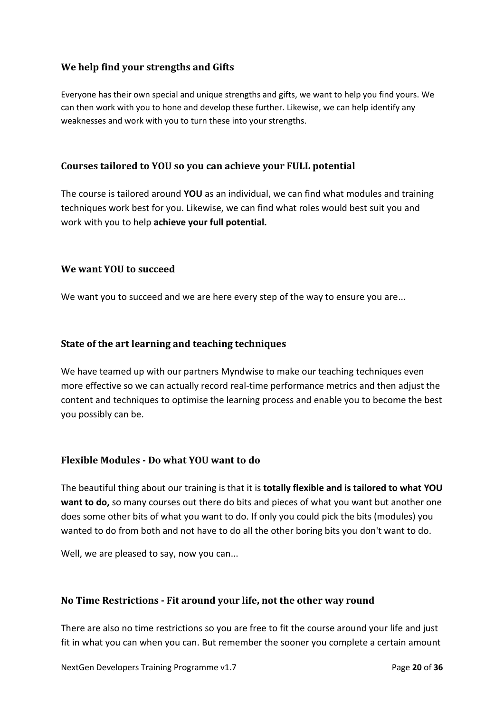## <span id="page-19-0"></span>**We help find your strengths and Gifts**

Everyone has their own special and unique strengths and gifts, we want to help you find yours. We can then work with you to hone and develop these further. Likewise, we can help identify any weaknesses and work with you to turn these into your strengths.

### <span id="page-19-1"></span>**Courses tailored to YOU so you can achieve your FULL potential**

The course is tailored around **YOU** as an individual, we can find what modules and training techniques work best for you. Likewise, we can find what roles would best suit you and work with you to help **achieve your full potential.**

#### <span id="page-19-2"></span>**We want YOU to succeed**

We want you to succeed and we are here every step of the way to ensure you are...

### <span id="page-19-3"></span>**State of the art learning and teaching techniques**

We have teamed up with our partners Myndwise to make our teaching techniques even more effective so we can actually record real-time performance metrics and then adjust the content and techniques to optimise the learning process and enable you to become the best you possibly can be.

#### <span id="page-19-4"></span>**Flexible Modules - Do what YOU want to do**

The beautiful thing about our training is that it is **totally flexible and is tailored to what YOU want to do,** so many courses out there do bits and pieces of what you want but another one does some other bits of what you want to do. If only you could pick the bits (modules) you wanted to do from both and not have to do all the other boring bits you don't want to do.

Well, we are pleased to say, now you can...

#### <span id="page-19-5"></span>**No Time Restrictions - Fit around your life, not the other way round**

There are also no time restrictions so you are free to fit the course around your life and just fit in what you can when you can. But remember the sooner you complete a certain amount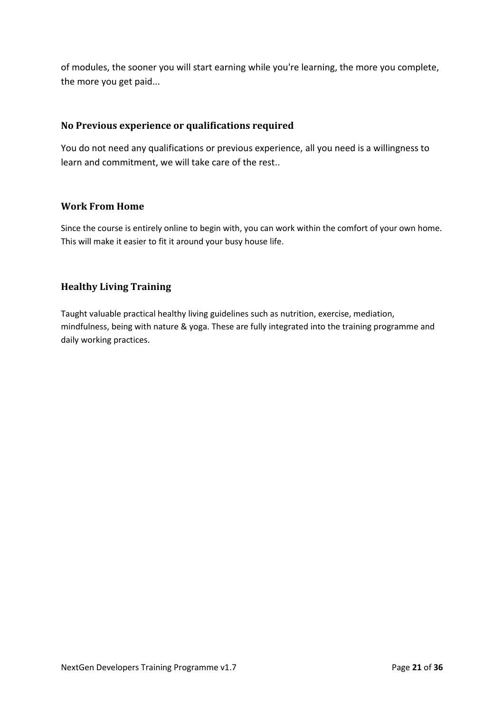of modules, the sooner you will start earning while you're learning, the more you complete, the more you get paid...

### <span id="page-20-0"></span>**No Previous experience or qualifications required**

You do not need any qualifications or previous experience, all you need is a willingness to learn and commitment, we will take care of the rest..

### <span id="page-20-1"></span>**Work From Home**

Since the course is entirely online to begin with, you can work within the comfort of your own home. This will make it easier to fit it around your busy house life.

## <span id="page-20-2"></span>**Healthy Living Training**

Taught valuable practical healthy living guidelines such as nutrition, exercise, mediation, mindfulness, being with nature & yoga. These are fully integrated into the training programme and daily working practices.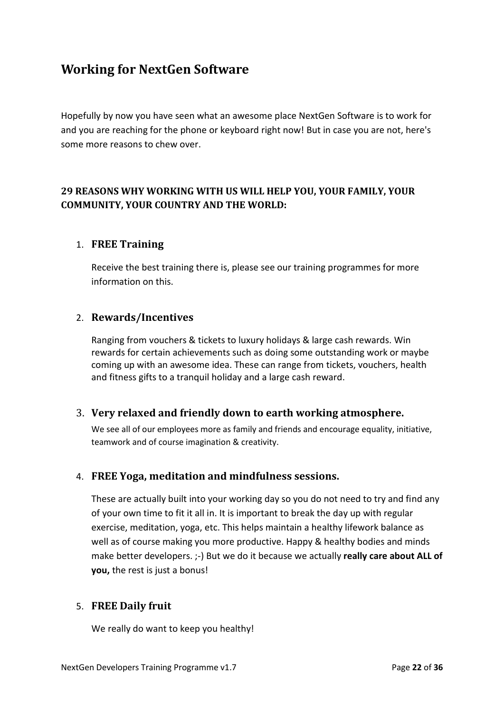## <span id="page-21-0"></span>**Working for NextGen Software**

Hopefully by now you have seen what an awesome place NextGen Software is to work for and you are reaching for the phone or keyboard right now! But in case you are not, here's some more reasons to chew over.

## <span id="page-21-1"></span>**29 REASONS WHY WORKING WITH US WILL HELP YOU, YOUR FAMILY, YOUR COMMUNITY, YOUR COUNTRY AND THE WORLD:**

## <span id="page-21-2"></span>1. **FREE Training**

Receive the best training there is, please see our training programmes for more information on this.

### <span id="page-21-3"></span>2. **Rewards/Incentives**

Ranging from vouchers & tickets to luxury holidays & large cash rewards. Win rewards for certain achievements such as doing some outstanding work or maybe coming up with an awesome idea. These can range from tickets, vouchers, health and fitness gifts to a tranquil holiday and a large cash reward.

### <span id="page-21-4"></span>3. **Very relaxed and friendly down to earth working atmosphere.**

We see all of our employees more as family and friends and encourage equality, initiative, teamwork and of course imagination & creativity.

### <span id="page-21-5"></span>4. **FREE Yoga, meditation and mindfulness sessions.**

These are actually built into your working day so you do not need to try and find any of your own time to fit it all in. It is important to break the day up with regular exercise, meditation, yoga, etc. This helps maintain a healthy lifework balance as well as of course making you more productive. Happy & healthy bodies and minds make better developers. ;-) But we do it because we actually **really care about ALL of you,** the rest is just a bonus!

## <span id="page-21-6"></span>5. **FREE Daily fruit**

We really do want to keep you healthy!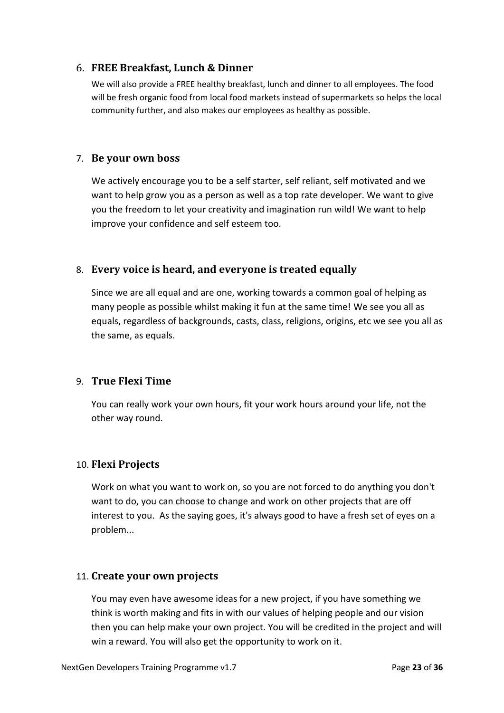### <span id="page-22-0"></span>6. **FREE Breakfast, Lunch & Dinner**

We will also provide a FREE healthy breakfast, lunch and dinner to all employees. The food will be fresh organic food from local food markets instead of supermarkets so helps the local community further, and also makes our employees as healthy as possible.

### <span id="page-22-1"></span>7. **Be your own boss**

We actively encourage you to be a self starter, self reliant, self motivated and we want to help grow you as a person as well as a top rate developer. We want to give you the freedom to let your creativity and imagination run wild! We want to help improve your confidence and self esteem too.

## <span id="page-22-2"></span>8. **Every voice is heard, and everyone is treated equally**

Since we are all equal and are one, working towards a common goal of helping as many people as possible whilst making it fun at the same time! We see you all as equals, regardless of backgrounds, casts, class, religions, origins, etc we see you all as the same, as equals.

## <span id="page-22-3"></span>9. **True Flexi Time**

You can really work your own hours, fit your work hours around your life, not the other way round.

### <span id="page-22-4"></span>10. **Flexi Projects**

Work on what you want to work on, so you are not forced to do anything you don't want to do, you can choose to change and work on other projects that are off interest to you. As the saying goes, it's always good to have a fresh set of eyes on a problem...

## <span id="page-22-5"></span>11. **Create your own projects**

You may even have awesome ideas for a new project, if you have something we think is worth making and fits in with our values of helping people and our vision then you can help make your own project. You will be credited in the project and will win a reward. You will also get the opportunity to work on it.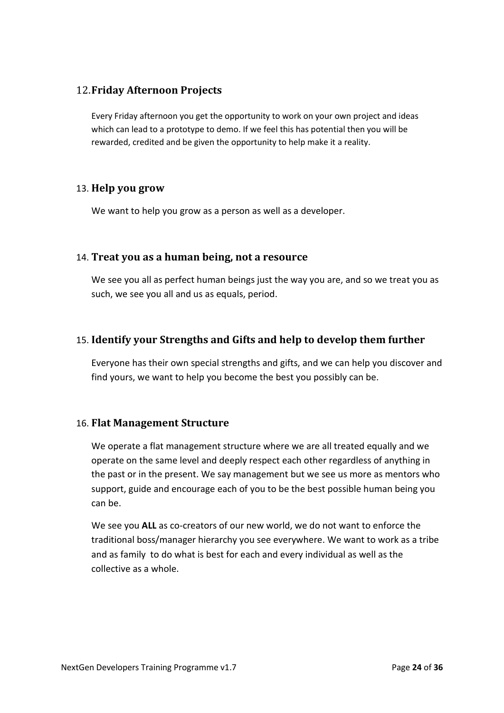## <span id="page-23-0"></span>12.**Friday Afternoon Projects**

Every Friday afternoon you get the opportunity to work on your own project and ideas which can lead to a prototype to demo. If we feel this has potential then you will be rewarded, credited and be given the opportunity to help make it a reality.

### <span id="page-23-1"></span>13. **Help you grow**

We want to help you grow as a person as well as a developer.

### <span id="page-23-2"></span>14. **Treat you as a human being, not a resource**

We see you all as perfect human beings just the way you are, and so we treat you as such, we see you all and us as equals, period.

### <span id="page-23-3"></span>15. **Identify your Strengths and Gifts and help to develop them further**

Everyone has their own special strengths and gifts, and we can help you discover and find yours, we want to help you become the best you possibly can be.

### <span id="page-23-4"></span>16. **Flat Management Structure**

We operate a flat management structure where we are all treated equally and we operate on the same level and deeply respect each other regardless of anything in the past or in the present. We say management but we see us more as mentors who support, guide and encourage each of you to be the best possible human being you can be.

We see you **ALL** as co-creators of our new world, we do not want to enforce the traditional boss/manager hierarchy you see everywhere. We want to work as a tribe and as family to do what is best for each and every individual as well as the collective as a whole.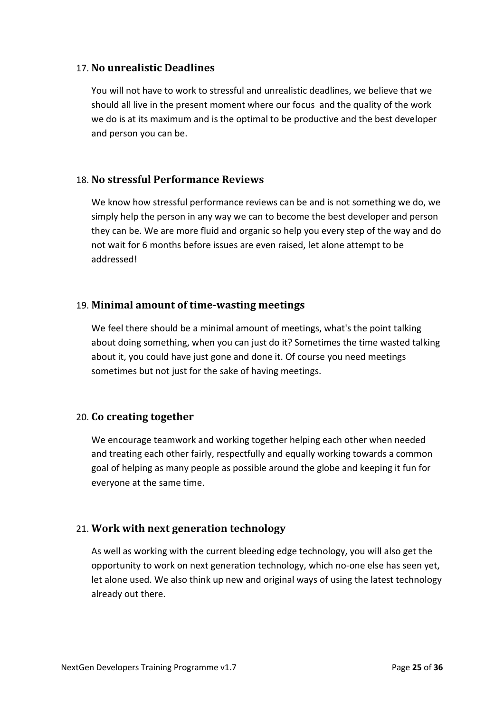### <span id="page-24-0"></span>17. **No unrealistic Deadlines**

You will not have to work to stressful and unrealistic deadlines, we believe that we should all live in the present moment where our focus and the quality of the work we do is at its maximum and is the optimal to be productive and the best developer and person you can be.

### <span id="page-24-1"></span>18. **No stressful Performance Reviews**

We know how stressful performance reviews can be and is not something we do, we simply help the person in any way we can to become the best developer and person they can be. We are more fluid and organic so help you every step of the way and do not wait for 6 months before issues are even raised, let alone attempt to be addressed!

### <span id="page-24-2"></span>19. **Minimal amount of time-wasting meetings**

We feel there should be a minimal amount of meetings, what's the point talking about doing something, when you can just do it? Sometimes the time wasted talking about it, you could have just gone and done it. Of course you need meetings sometimes but not just for the sake of having meetings.

### <span id="page-24-3"></span>20. **Co creating together**

We encourage teamwork and working together helping each other when needed and treating each other fairly, respectfully and equally working towards a common goal of helping as many people as possible around the globe and keeping it fun for everyone at the same time.

## <span id="page-24-4"></span>21. **Work with next generation technology**

As well as working with the current bleeding edge technology, you will also get the opportunity to work on next generation technology, which no-one else has seen yet, let alone used. We also think up new and original ways of using the latest technology already out there.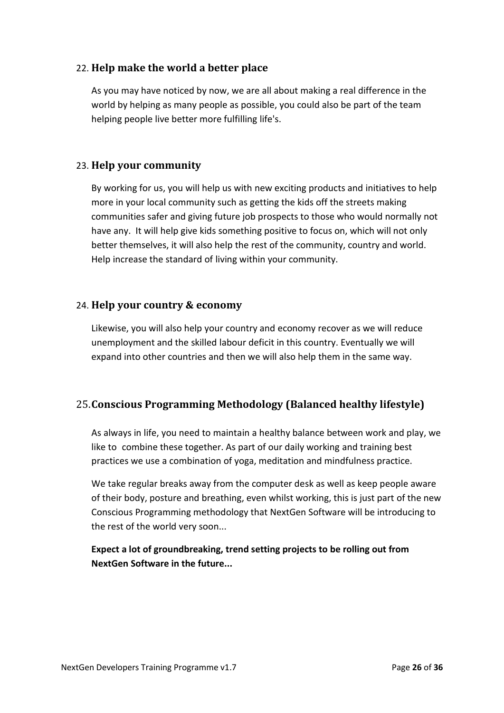## <span id="page-25-0"></span>22. **Help make the world a better place**

As you may have noticed by now, we are all about making a real difference in the world by helping as many people as possible, you could also be part of the team helping people live better more fulfilling life's.

## <span id="page-25-1"></span>23. **Help your community**

By working for us, you will help us with new exciting products and initiatives to help more in your local community such as getting the kids off the streets making communities safer and giving future job prospects to those who would normally not have any. It will help give kids something positive to focus on, which will not only better themselves, it will also help the rest of the community, country and world. Help increase the standard of living within your community.

## <span id="page-25-2"></span>24. **Help your country & economy**

Likewise, you will also help your country and economy recover as we will reduce unemployment and the skilled labour deficit in this country. Eventually we will expand into other countries and then we will also help them in the same way.

## <span id="page-25-3"></span>25.**Conscious Programming Methodology (Balanced healthy lifestyle)**

As always in life, you need to maintain a healthy balance between work and play, we like to combine these together. As part of our daily working and training best practices we use a combination of yoga, meditation and mindfulness practice.

We take regular breaks away from the computer desk as well as keep people aware of their body, posture and breathing, even whilst working, this is just part of the new Conscious Programming methodology that NextGen Software will be introducing to the rest of the world very soon...

**Expect a lot of groundbreaking, trend setting projects to be rolling out from NextGen Software in the future...**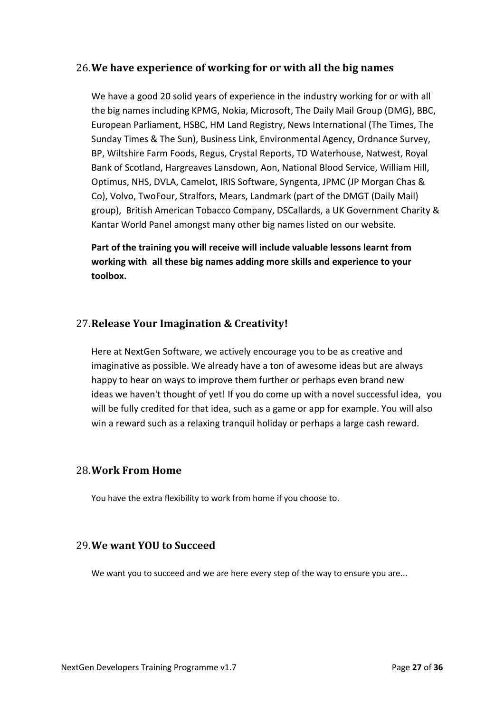### <span id="page-26-0"></span>26.**We have experience of working for or with all the big names**

We have a good 20 solid years of experience in the industry working for or with all the big names including KPMG, Nokia, Microsoft, The Daily Mail Group (DMG), BBC, European Parliament, HSBC, HM Land Registry, News International (The Times, The Sunday Times & The Sun), Business Link, Environmental Agency, Ordnance Survey, BP, Wiltshire Farm Foods, Regus, Crystal Reports, TD Waterhouse, Natwest, Royal Bank of Scotland, Hargreaves Lansdown, Aon, National Blood Service, William Hill, Optimus, NHS, DVLA, Camelot, IRIS Software, Syngenta, JPMC (JP Morgan Chas & Co), Volvo, TwoFour, Stralfors, Mears, Landmark (part of the DMGT (Daily Mail) group), British American Tobacco Company, DSCallards, a UK Government Charity & Kantar World Panel amongst many other big names listed on our website.

**Part of the training you will receive will include valuable lessons learnt from working with all these big names adding more skills and experience to your toolbox.** 

## <span id="page-26-1"></span>27.**Release Your Imagination & Creativity!**

Here at NextGen Software, we actively encourage you to be as creative and imaginative as possible. We already have a ton of awesome ideas but are always happy to hear on ways to improve them further or perhaps even brand new ideas we haven't thought of yet! If you do come up with a novel successful idea, you will be fully credited for that idea, such as a game or app for example. You will also win a reward such as a relaxing tranquil holiday or perhaps a large cash reward.

### <span id="page-26-2"></span>28.**Work From Home**

You have the extra flexibility to work from home if you choose to.

### <span id="page-26-3"></span>29.**We want YOU to Succeed**

We want you to succeed and we are here every step of the way to ensure you are...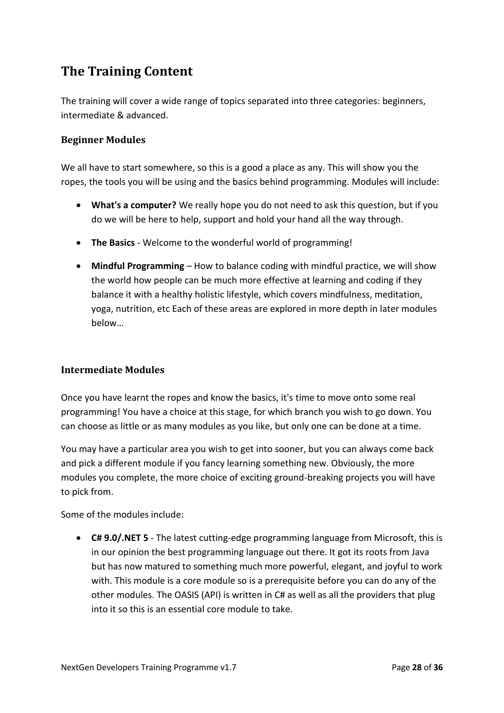## <span id="page-27-0"></span>**The Training Content**

The training will cover a wide range of topics separated into three categories: beginners, intermediate & advanced.

## <span id="page-27-1"></span>**Beginner Modules**

We all have to start somewhere, so this is a good a place as any. This will show you the ropes, the tools you will be using and the basics behind programming. Modules will include:

- **What's a computer?** We really hope you do not need to ask this question, but if you do we will be here to help, support and hold your hand all the way through.
- **The Basics** Welcome to the wonderful world of programming!
- **Mindful Programming**  How to balance coding with mindful practice, we will show the world how people can be much more effective at learning and coding if they balance it with a healthy holistic lifestyle, which covers mindfulness, meditation, yoga, nutrition, etc Each of these areas are explored in more depth in later modules below…

### <span id="page-27-2"></span>**Intermediate Modules**

Once you have learnt the ropes and know the basics, it's time to move onto some real programming! You have a choice at this stage, for which branch you wish to go down. You can choose as little or as many modules as you like, but only one can be done at a time.

You may have a particular area you wish to get into sooner, but you can always come back and pick a different module if you fancy learning something new. Obviously, the more modules you complete, the more choice of exciting ground-breaking projects you will have to pick from.

Some of the modules include:

• **C# 9.0/.NET 5** - The latest cutting-edge programming language from Microsoft, this is in our opinion the best programming language out there. It got its roots from Java but has now matured to something much more powerful, elegant, and joyful to work with. This module is a core module so is a prerequisite before you can do any of the other modules. The OASIS (API) is written in C# as well as all the providers that plug into it so this is an essential core module to take.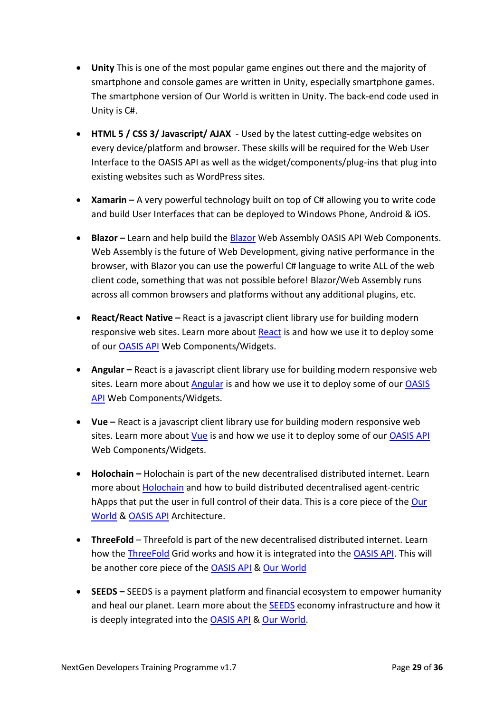- **Unity** This is one of the most popular game engines out there and the majority of smartphone and console games are written in Unity, especially smartphone games. The smartphone version of Our World is written in Unity. The back-end code used in Unity is C#.
- **HTML 5 / CSS 3/ Javascript/ AJAX** Used by the latest cutting-edge websites on every device/platform and browser. These skills will be required for the Web User Interface to the OASIS API as well as the widget/components/plug-ins that plug into existing websites such as WordPress sites.
- **Xamarin –** A very powerful technology built on top of C# allowing you to write code and build User Interfaces that can be deployed to Windows Phone, Android & iOS.
- **Blazor** Learn and help build th[e Blazor](https://dotnet.microsoft.com/apps/aspnet/web-apps/blazor) Web Assembly OASIS API Web Components. Web Assembly is the future of Web Development, giving native performance in the browser, with Blazor you can use the powerful C# language to write ALL of the web client code, something that was not possible before! Blazor/Web Assembly runs across all common browsers and platforms without any additional plugins, etc.
- **React/React Native –** React is a javascript client library use for building modern responsive web sites. Learn more about [React](https://reactjs.org/) is and how we use it to deploy some of our [OASIS API](https://github.com/NextGenSoftwareUK/Our-World-OASIS-API-HoloNET-HoloUnity-And-.NET-HDK) Web Components/Widgets.
- **Angular** React is a javascript client library use for building modern responsive web sites. Learn more about [Angular](https://angular.io/) is and how we use it to deploy some of ou[r OASIS](https://github.com/NextGenSoftwareUK/Our-World-OASIS-API-HoloNET-HoloUnity-And-.NET-HDK) [API](https://github.com/NextGenSoftwareUK/Our-World-OASIS-API-HoloNET-HoloUnity-And-.NET-HDK) Web Components/Widgets.
- **Vue –** React is a javascript client library use for building modern responsive web sites. Learn more about [Vue](https://vuejs.org/) is and how we use it to deploy some of our [OASIS API](https://github.com/NextGenSoftwareUK/Our-World-OASIS-API-HoloNET-HoloUnity-And-.NET-HDK) Web Components/Widgets.
- **Holochain –** Holochain is part of the new decentralised distributed internet. Learn more about [Holochain](https://holochain.org/) and how to build distributed decentralised agent-centric hApps that put the user in full control of their data. This is a core piece of the [Our](http://www.ourworldthegame.com/)  [World](http://www.ourworldthegame.com/) & [OASIS API](https://github.com/NextGenSoftwareUK/Our-World-OASIS-API-HoloNET-HoloUnity-And-.NET-HDK) Architecture.
- **ThreeFold**  Threefold is part of the new decentralised distributed internet. Learn how the [ThreeFold](https://threefold.io/) Grid works and how it is integrated into the [OASIS API.](https://github.com/NextGenSoftwareUK/Our-World-OASIS-API-HoloNET-HoloUnity-And-.NET-HDK) This will be another core piece of the [OASIS](https://github.com/NextGenSoftwareUK/Our-World-OASIS-API-HoloNET-HoloUnity-And-.NET-HDK) API & [Our World](http://www.ourworldthegame.com/)
- **SEEDS –** SEEDS is a payment platform and financial ecosystem to empower humanity and heal our planet. Learn more about the **[SEEDS](http://www.joinseeds.com/)** economy infrastructure and how it is deeply integrated into the [OASIS API](https://github.com/NextGenSoftwareUK/Our-World-OASIS-API-HoloNET-HoloUnity-And-.NET-HDK) & [Our World.](http://www.ourworldthegame.com/)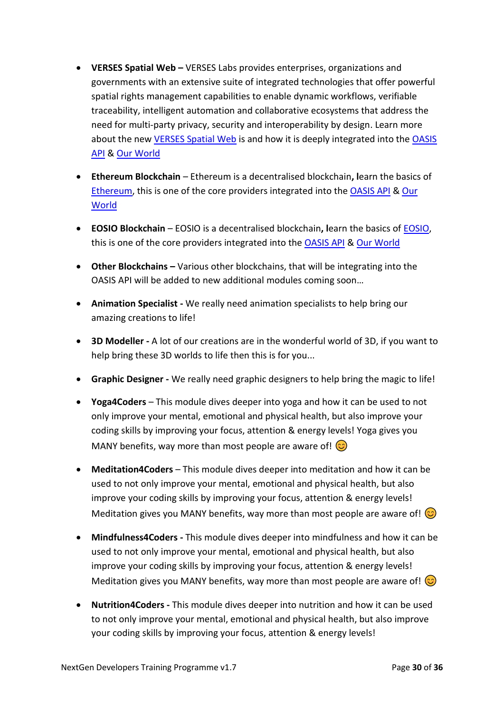- **VERSES Spatial Web –** VERSES Labs provides enterprises, organizations and governments with an extensive suite of integrated technologies that offer powerful spatial rights management capabilities to enable dynamic workflows, verifiable traceability, intelligent automation and collaborative ecosystems that address the need for multi-party privacy, security and interoperability by design. Learn more about the new [VERSES Spatial Web](https://www.verses.io/) is and how it is deeply integrated into the OASIS [API](https://github.com/NextGenSoftwareUK/Our-World-OASIS-API-HoloNET-HoloUnity-And-.NET-HDK) & [Our World](http://www.ourworldthegame.com/)
- **Ethereum Blockchain**  Ethereum is a decentralised blockchain**, l**earn the basics of [Ethereum,](https://ethereum.org/en/) this is one of the core providers integrated into th[e OASIS API](https://github.com/NextGenSoftwareUK/Our-World-OASIS-API-HoloNET-HoloUnity-And-.NET-HDK) & [Our](http://www.ourworldthegame.com/)  **[World](http://www.ourworldthegame.com/)**
- **EOSIO Blockchain**  EOSIO is a decentralised blockchain**, l**earn the basics of [EOSIO,](https://eos.io/) this is one of the core providers integrated into th[e OASIS API](https://github.com/NextGenSoftwareUK/Our-World-OASIS-API-HoloNET-HoloUnity-And-.NET-HDK) & [Our World](http://www.ourworldthegame.com/)
- **Other Blockchains –** Various other blockchains, that will be integrating into the OASIS API will be added to new additional modules coming soon…
- **Animation Specialist -** We really need animation specialists to help bring our amazing creations to life!
- **3D Modeller -** A lot of our creations are in the wonderful world of 3D, if you want to help bring these 3D worlds to life then this is for you...
- **Graphic Designer -** We really need graphic designers to help bring the magic to life!
- **Yoga4Coders**  This module dives deeper into yoga and how it can be used to not only improve your mental, emotional and physical health, but also improve your coding skills by improving your focus, attention & energy levels! Yoga gives you MANY benefits, way more than most people are aware of!  $\odot$
- **Meditation4Coders**  This module dives deeper into meditation and how it can be used to not only improve your mental, emotional and physical health, but also improve your coding skills by improving your focus, attention & energy levels! Meditation gives you MANY benefits, way more than most people are aware of!  $\odot$
- **Mindfulness4Coders -** This module dives deeper into mindfulness and how it can be used to not only improve your mental, emotional and physical health, but also improve your coding skills by improving your focus, attention & energy levels! Meditation gives you MANY benefits, way more than most people are aware of!  $\circled{c}$
- **Nutrition4Coders -** This module dives deeper into nutrition and how it can be used to not only improve your mental, emotional and physical health, but also improve your coding skills by improving your focus, attention & energy levels!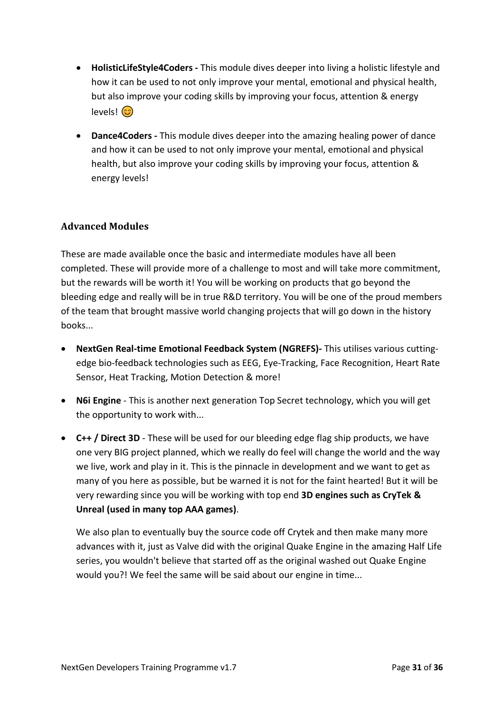- **HolisticLifeStyle4Coders -** This module dives deeper into living a holistic lifestyle and how it can be used to not only improve your mental, emotional and physical health, but also improve your coding skills by improving your focus, attention & energy levels! (හි
- **Dance4Coders -** This module dives deeper into the amazing healing power of dance and how it can be used to not only improve your mental, emotional and physical health, but also improve your coding skills by improving your focus, attention & energy levels!

## <span id="page-30-0"></span>**Advanced Modules**

These are made available once the basic and intermediate modules have all been completed. These will provide more of a challenge to most and will take more commitment, but the rewards will be worth it! You will be working on products that go beyond the bleeding edge and really will be in true R&D territory. You will be one of the proud members of the team that brought massive world changing projects that will go down in the history books...

- **NextGen Real-time Emotional Feedback System (NGREFS)-** This utilises various cuttingedge bio-feedback technologies such as EEG, Eye-Tracking, Face Recognition, Heart Rate Sensor, Heat Tracking, Motion Detection & more!
- **N6i Engine** This is another next generation Top Secret technology, which you will get the opportunity to work with...
- **C++ / Direct 3D** These will be used for our bleeding edge flag ship products, we have one very BIG project planned, which we really do feel will change the world and the way we live, work and play in it. This is the pinnacle in development and we want to get as many of you here as possible, but be warned it is not for the faint hearted! But it will be very rewarding since you will be working with top end **3D engines such as CryTek & Unreal (used in many top AAA games)**.

We also plan to eventually buy the source code off Crytek and then make many more advances with it, just as Valve did with the original Quake Engine in the amazing Half Life series, you wouldn't believe that started off as the original washed out Quake Engine would you?! We feel the same will be said about our engine in time...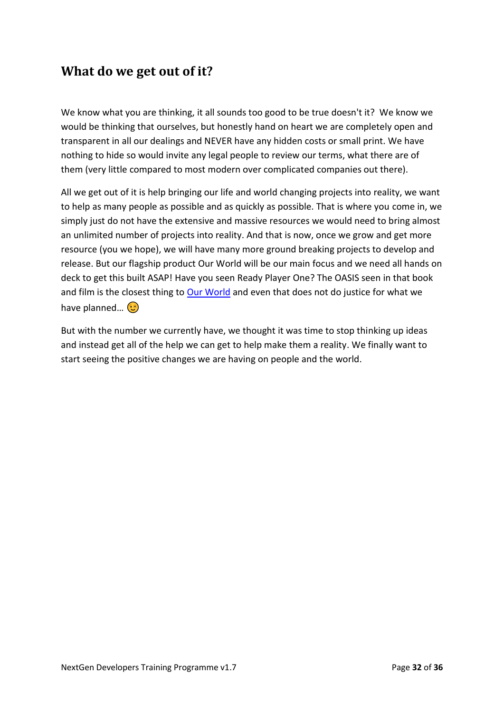## <span id="page-31-0"></span>**What do we get out of it?**

We know what you are thinking, it all sounds too good to be true doesn't it? We know we would be thinking that ourselves, but honestly hand on heart we are completely open and transparent in all our dealings and NEVER have any hidden costs or small print. We have nothing to hide so would invite any legal people to review our terms, what there are of them (very little compared to most modern over complicated companies out there).

All we get out of it is help bringing our life and world changing projects into reality, we want to help as many people as possible and as quickly as possible. That is where you come in, we simply just do not have the extensive and massive resources we would need to bring almost an unlimited number of projects into reality. And that is now, once we grow and get more resource (you we hope), we will have many more ground breaking projects to develop and release. But our flagship product Our World will be our main focus and we need all hands on deck to get this built ASAP! Have you seen Ready Player One? The OASIS seen in that book and film is the closest thing to [Our World](http://www.ourworldthegame.com/) and even that does not do justice for what we have planned... **(B)** 

But with the number we currently have, we thought it was time to stop thinking up ideas and instead get all of the help we can get to help make them a reality. We finally want to start seeing the positive changes we are having on people and the world.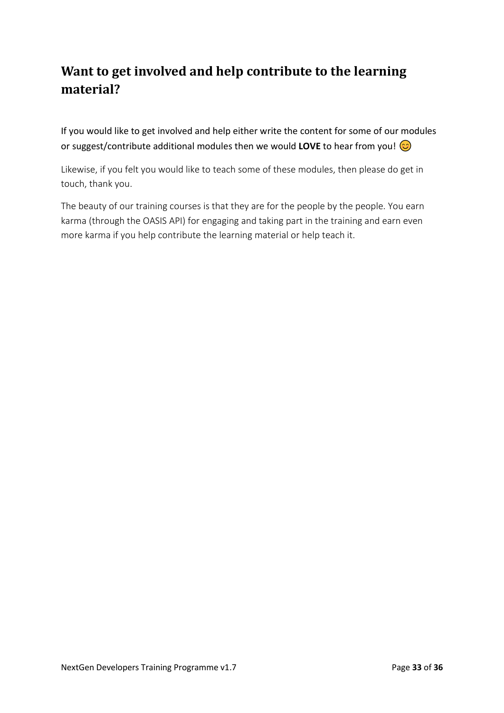## <span id="page-32-0"></span>**Want to get involved and help contribute to the learning material?**

If you would like to get involved and help either write the content for some of our modules or suggest/contribute additional modules then we would **LOVE** to hear from you!

Likewise, if you felt you would like to teach some of these modules, then please do get in touch, thank you.

The beauty of our training courses is that they are for the people by the people. You earn karma (through the OASIS API) for engaging and taking part in the training and earn even more karma if you help contribute the learning material or help teach it.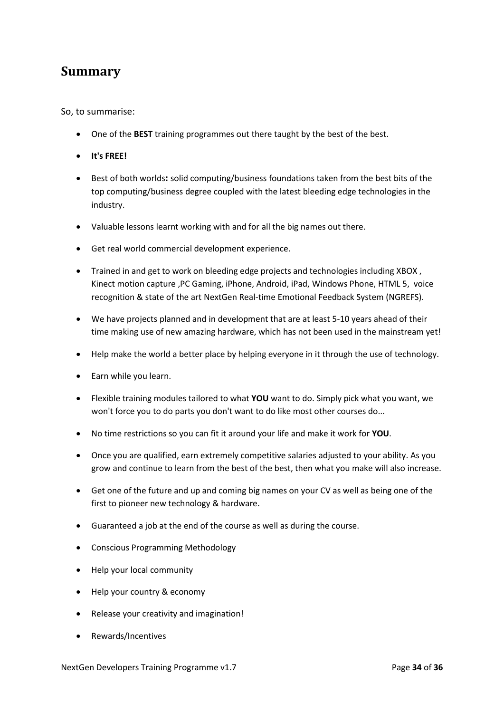## <span id="page-33-0"></span>**Summary**

So, to summarise:

- One of the **BEST** training programmes out there taught by the best of the best.
- **It's FREE!**
- Best of both worlds**:** solid computing/business foundations taken from the best bits of the top computing/business degree coupled with the latest bleeding edge technologies in the industry.
- Valuable lessons learnt working with and for all the big names out there.
- Get real world commercial development experience.
- Trained in and get to work on bleeding edge projects and technologies including XBOX, Kinect motion capture ,PC Gaming, iPhone, Android, iPad, Windows Phone, HTML 5, voice recognition & state of the art NextGen Real-time Emotional Feedback System (NGREFS).
- We have projects planned and in development that are at least 5-10 years ahead of their time making use of new amazing hardware, which has not been used in the mainstream yet!
- Help make the world a better place by helping everyone in it through the use of technology.
- Earn while you learn.
- Flexible training modules tailored to what **YOU** want to do. Simply pick what you want, we won't force you to do parts you don't want to do like most other courses do...
- No time restrictions so you can fit it around your life and make it work for **YOU**.
- Once you are qualified, earn extremely competitive salaries adjusted to your ability. As you grow and continue to learn from the best of the best, then what you make will also increase.
- Get one of the future and up and coming big names on your CV as well as being one of the first to pioneer new technology & hardware.
- Guaranteed a job at the end of the course as well as during the course.
- Conscious Programming Methodology
- Help your local community
- Help your country & economy
- Release your creativity and imagination!
- Rewards/Incentives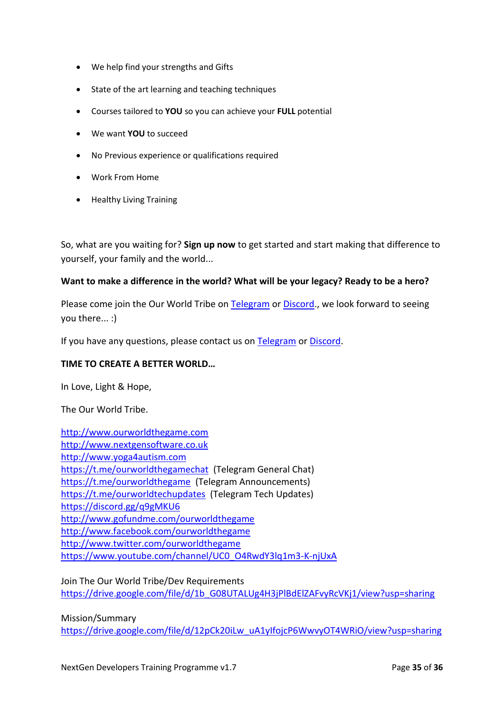- We help find your strengths and Gifts
- State of the art learning and teaching techniques
- Courses tailored to **YOU** so you can achieve your **FULL** potential
- We want **YOU** to succeed
- No Previous experience or qualifications required
- Work From Home
- Healthy Living Training

So, what are you waiting for? **Sign up now** to get started and start making that difference to yourself, your family and the world...

#### **Want to make a difference in the world? What will be your legacy? Ready to be a hero?**

Please come join the Our World Tribe on [Telegram](https://t.me/ourworldthegamechat) o[r Discord.](https://discord.gg/q9gMKU6), we look forward to seeing you there... :)

If you have any questions, please contact us on [Telegram](https://t.me/ourworldthegamechat) or [Discord.](https://discord.gg/q9gMKU6)

#### **TIME TO CREATE A BETTER WORLD…**

In Love, Light & Hope,

The Our World Tribe.

[http://www.ourworldthegame.com](http://www.ourworldthegame.com/) [http://www.nextgensoftware.co.uk](http://www.nextgensoftware.co.uk/) [http://www.yoga4autism.com](http://www.yoga4autism.com/) <https://t.me/ourworldthegamechat> (Telegram General Chat) <https://t.me/ourworldthegame> (Telegram Announcements) <https://t.me/ourworldtechupdates> (Telegram Tech Updates) <https://discord.gg/q9gMKU6> <http://www.gofundme.com/ourworldthegame> <http://www.facebook.com/ourworldthegame> <http://www.twitter.com/ourworldthegame> [https://www.youtube.com/channel/UC0\\_O4RwdY3lq1m3-K-njUxA](https://www.youtube.com/channel/UC0_O4RwdY3lq1m3-K-njUxA)

Join The Our World Tribe/Dev Requirements [https://drive.google.com/file/d/1b\\_G08UTALUg4H3jPlBdElZAFvyRcVKj1/view?usp=sharing](https://drive.google.com/file/d/1b_G08UTALUg4H3jPlBdElZAFvyRcVKj1/view?usp=sharing)

Mission/Summary

[https://drive.google.com/file/d/12pCk20iLw\\_uA1yIfojcP6WwvyOT4WRiO/view?usp=sharing](https://drive.google.com/file/d/12pCk20iLw_uA1yIfojcP6WwvyOT4WRiO/view?usp=sharing)